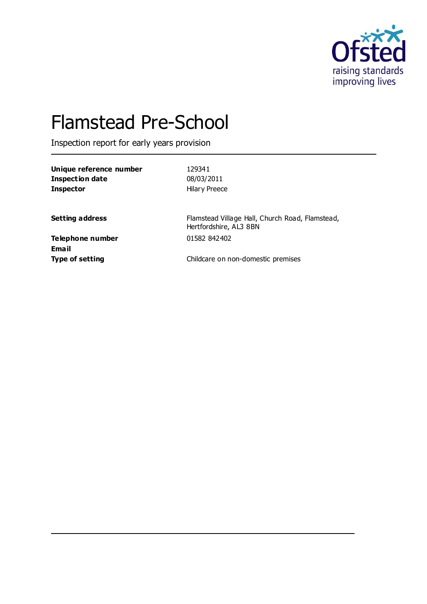

# Flamstead Pre-School

Inspection report for early years provision

| Unique reference number |  |
|-------------------------|--|
| Inspection date         |  |
| <b>Inspector</b>        |  |

**Unique reference number** 129341 **Inspection date** 08/03/2011 **Hilary Preece** 

**Setting address** Flamstead Village Hall, Church Road, Flamstead, Hertfordshire, AL3 8BN

**Telephone number** 01582 842402 **Email**

**Type of setting Childcare on non-domestic premises**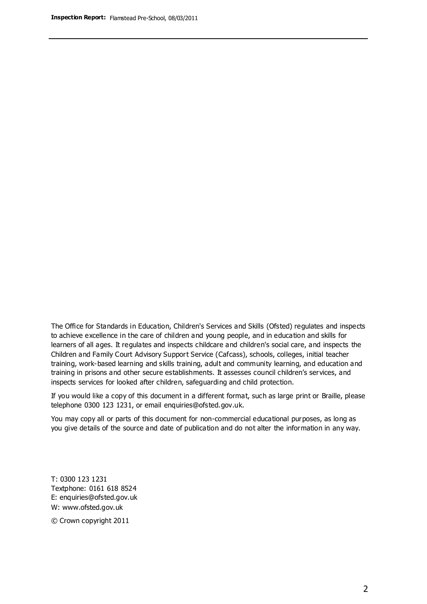The Office for Standards in Education, Children's Services and Skills (Ofsted) regulates and inspects to achieve excellence in the care of children and young people, and in education and skills for learners of all ages. It regulates and inspects childcare and children's social care, and inspects the Children and Family Court Advisory Support Service (Cafcass), schools, colleges, initial teacher training, work-based learning and skills training, adult and community learning, and education and training in prisons and other secure establishments. It assesses council children's services, and inspects services for looked after children, safeguarding and child protection.

If you would like a copy of this document in a different format, such as large print or Braille, please telephone 0300 123 1231, or email enquiries@ofsted.gov.uk.

You may copy all or parts of this document for non-commercial educational purposes, as long as you give details of the source and date of publication and do not alter the information in any way.

T: 0300 123 1231 Textphone: 0161 618 8524 E: enquiries@ofsted.gov.uk W: [www.ofsted.gov.uk](http://www.ofsted.gov.uk/)

© Crown copyright 2011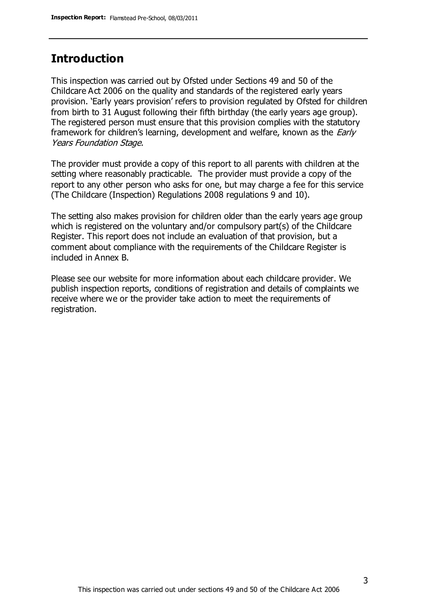## **Introduction**

This inspection was carried out by Ofsted under Sections 49 and 50 of the Childcare Act 2006 on the quality and standards of the registered early years provision. 'Early years provision' refers to provision regulated by Ofsted for children from birth to 31 August following their fifth birthday (the early years age group). The registered person must ensure that this provision complies with the statutory framework for children's learning, development and welfare, known as the *Early* Years Foundation Stage.

The provider must provide a copy of this report to all parents with children at the setting where reasonably practicable. The provider must provide a copy of the report to any other person who asks for one, but may charge a fee for this service (The Childcare (Inspection) Regulations 2008 regulations 9 and 10).

The setting also makes provision for children older than the early years age group which is registered on the voluntary and/or compulsory part(s) of the Childcare Register. This report does not include an evaluation of that provision, but a comment about compliance with the requirements of the Childcare Register is included in Annex B.

Please see our website for more information about each childcare provider. We publish inspection reports, conditions of registration and details of complaints we receive where we or the provider take action to meet the requirements of registration.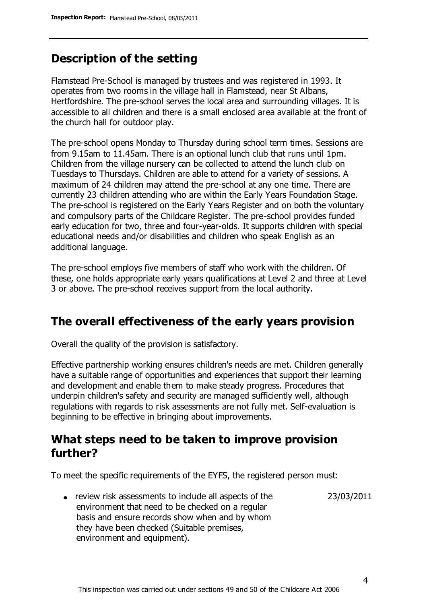## **Description of the setting**

Flamstead Pre-School is managed by trustees and was registered in 1993. It operates from two rooms in the village hall in Flamstead, near St Albans, Hertfordshire. The pre-school serves the local area and surrounding villages. It is accessible to all children and there is a small enclosed area available at the front of the church hall for outdoor play.

The pre-school opens Monday to Thursday during school term times. Sessions are from 9.15am to 11.45am. There is an optional lunch club that runs until 1pm. Children from the village nursery can be collected to attend the lunch club on Tuesdays to Thursdays. Children are able to attend for a variety of sessions. A maximum of 24 children may attend the pre-school at any one time. There are currently 23 children attending who are within the Early Years Foundation Stage. The pre-school is registered on the Early Years Register and on both the voluntary and compulsory parts of the Childcare Register. The pre-school provides funded early education for two, three and four-year-olds. It supports children with special educational needs and/or disabilities and children who speak English as an additional language.

The pre-school employs five members of staff who work with the children. Of these, one holds appropriate early years qualifications at Level 2 and three at Level 3 or above. The pre-school receives support from the local authority.

### **The overall effectiveness of the early years provision**

Overall the quality of the provision is satisfactory.

Effective partnership working ensures children's needs are met. Children generally have a suitable range of opportunities and experiences that support their learning and development and enable them to make steady progress. Procedures that underpin children's safety and security are managed sufficiently well, although regulations with regards to risk assessments are not fully met. Self-evaluation is beginning to be effective in bringing about improvements.

### **What steps need to be taken to improve provision further?**

To meet the specific requirements of the EYFS, the registered person must:

review risk assessments to include all aspects of the environment that need to be checked on a regular basis and ensure records show when and by whom they have been checked (Suitable premises, environment and equipment). 23/03/2011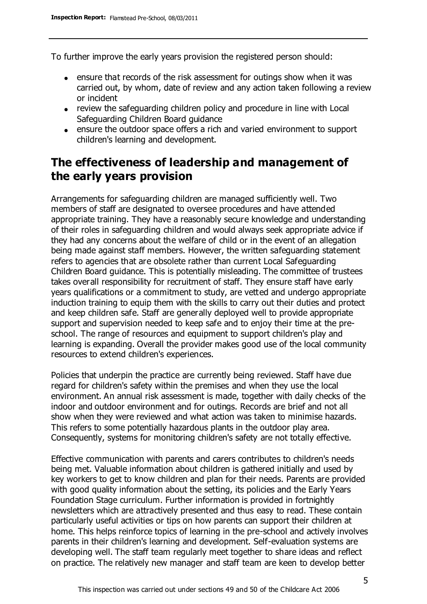To further improve the early years provision the registered person should:

- ensure that records of the risk assessment for outings show when it was carried out, by whom, date of review and any action taken following a review or incident
- review the safeguarding children policy and procedure in line with Local Safeguarding Children Board guidance
- ensure the outdoor space offers a rich and varied environment to support children's learning and development.

# **The effectiveness of leadership and management of the early years provision**

Arrangements for safeguarding children are managed sufficiently well. Two members of staff are designated to oversee procedures and have attended appropriate training. They have a reasonably secure knowledge and understanding of their roles in safeguarding children and would always seek appropriate advice if they had any concerns about the welfare of child or in the event of an allegation being made against staff members. However, the written safeguarding statement refers to agencies that are obsolete rather than current Local Safeguarding Children Board guidance. This is potentially misleading. The committee of trustees takes overall responsibility for recruitment of staff. They ensure staff have early years qualifications or a commitment to study, are vetted and undergo appropriate induction training to equip them with the skills to carry out their duties and protect and keep children safe. Staff are generally deployed well to provide appropriate support and supervision needed to keep safe and to enjoy their time at the preschool. The range of resources and equipment to support children's play and learning is expanding. Overall the provider makes good use of the local community resources to extend children's experiences.

Policies that underpin the practice are currently being reviewed. Staff have due regard for children's safety within the premises and when they use the local environment. An annual risk assessment is made, together with daily checks of the indoor and outdoor environment and for outings. Records are brief and not all show when they were reviewed and what action was taken to minimise hazards. This refers to some potentially hazardous plants in the outdoor play area. Consequently, systems for monitoring children's safety are not totally effective.

Effective communication with parents and carers contributes to children's needs being met. Valuable information about children is gathered initially and used by key workers to get to know children and plan for their needs. Parents are provided with good quality information about the setting, its policies and the Early Years Foundation Stage curriculum. Further information is provided in fortnightly newsletters which are attractively presented and thus easy to read. These contain particularly useful activities or tips on how parents can support their children at home. This helps reinforce topics of learning in the pre-school and actively involves parents in their children's learning and development. Self-evaluation systems are developing well. The staff team regularly meet together to share ideas and reflect on practice. The relatively new manager and staff team are keen to develop better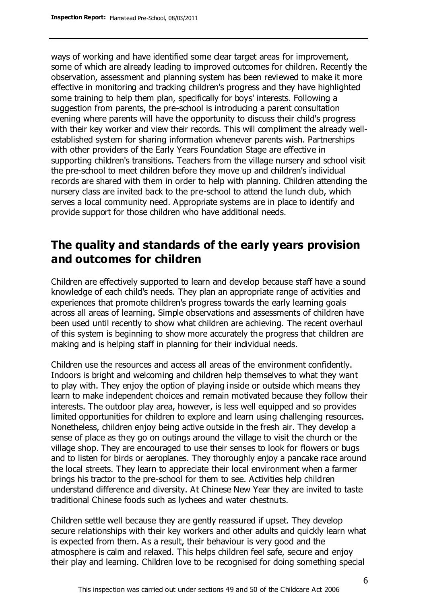ways of working and have identified some clear target areas for improvement, some of which are already leading to improved outcomes for children. Recently the observation, assessment and planning system has been reviewed to make it more effective in monitoring and tracking children's progress and they have highlighted some training to help them plan, specifically for boys' interests. Following a suggestion from parents, the pre-school is introducing a parent consultation evening where parents will have the opportunity to discuss their child's progress with their key worker and view their records. This will compliment the already wellestablished system for sharing information whenever parents wish. Partnerships with other providers of the Early Years Foundation Stage are effective in supporting children's transitions. Teachers from the village nursery and school visit the pre-school to meet children before they move up and children's individual records are shared with them in order to help with planning. Children attending the nursery class are invited back to the pre-school to attend the lunch club, which serves a local community need. Appropriate systems are in place to identify and provide support for those children who have additional needs.

# **The quality and standards of the early years provision and outcomes for children**

Children are effectively supported to learn and develop because staff have a sound knowledge of each child's needs. They plan an appropriate range of activities and experiences that promote children's progress towards the early learning goals across all areas of learning. Simple observations and assessments of children have been used until recently to show what children are achieving. The recent overhaul of this system is beginning to show more accurately the progress that children are making and is helping staff in planning for their individual needs.

Children use the resources and access all areas of the environment confidently. Indoors is bright and welcoming and children help themselves to what they want to play with. They enjoy the option of playing inside or outside which means they learn to make independent choices and remain motivated because they follow their interests. The outdoor play area, however, is less well equipped and so provides limited opportunities for children to explore and learn using challenging resources. Nonetheless, children enjoy being active outside in the fresh air. They develop a sense of place as they go on outings around the village to visit the church or the village shop. They are encouraged to use their senses to look for flowers or bugs and to listen for birds or aeroplanes. They thoroughly enjoy a pancake race around the local streets. They learn to appreciate their local environment when a farmer brings his tractor to the pre-school for them to see. Activities help children understand difference and diversity. At Chinese New Year they are invited to taste traditional Chinese foods such as lychees and water chestnuts.

Children settle well because they are gently reassured if upset. They develop secure relationships with their key workers and other adults and quickly learn what is expected from them. As a result, their behaviour is very good and the atmosphere is calm and relaxed. This helps children feel safe, secure and enjoy their play and learning. Children love to be recognised for doing something special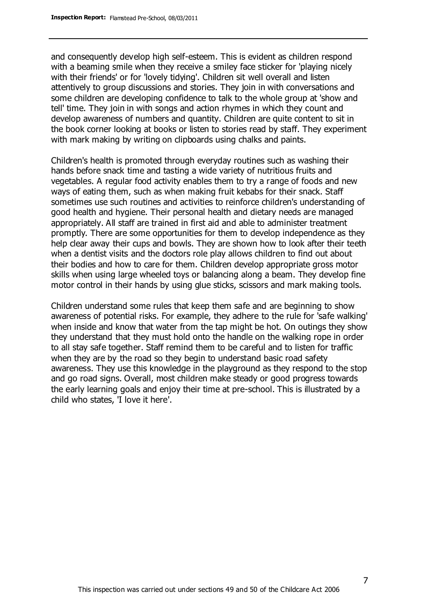and consequently develop high self-esteem. This is evident as children respond with a beaming smile when they receive a smiley face sticker for 'playing nicely with their friends' or for 'lovely tidying'. Children sit well overall and listen attentively to group discussions and stories. They join in with conversations and some children are developing confidence to talk to the whole group at 'show and tell' time. They join in with songs and action rhymes in which they count and develop awareness of numbers and quantity. Children are quite content to sit in the book corner looking at books or listen to stories read by staff. They experiment with mark making by writing on clipboards using chalks and paints.

Children's health is promoted through everyday routines such as washing their hands before snack time and tasting a wide variety of nutritious fruits and vegetables. A regular food activity enables them to try a range of foods and new ways of eating them, such as when making fruit kebabs for their snack. Staff sometimes use such routines and activities to reinforce children's understanding of good health and hygiene. Their personal health and dietary needs are managed appropriately. All staff are trained in first aid and able to administer treatment promptly. There are some opportunities for them to develop independence as they help clear away their cups and bowls. They are shown how to look after their teeth when a dentist visits and the doctors role play allows children to find out about their bodies and how to care for them. Children develop appropriate gross motor skills when using large wheeled toys or balancing along a beam. They develop fine motor control in their hands by using glue sticks, scissors and mark making tools.

Children understand some rules that keep them safe and are beginning to show awareness of potential risks. For example, they adhere to the rule for 'safe walking' when inside and know that water from the tap might be hot. On outings they show they understand that they must hold onto the handle on the walking rope in order to all stay safe together. Staff remind them to be careful and to listen for traffic when they are by the road so they begin to understand basic road safety awareness. They use this knowledge in the playground as they respond to the stop and go road signs. Overall, most children make steady or good progress towards the early learning goals and enjoy their time at pre-school. This is illustrated by a child who states, 'I love it here'.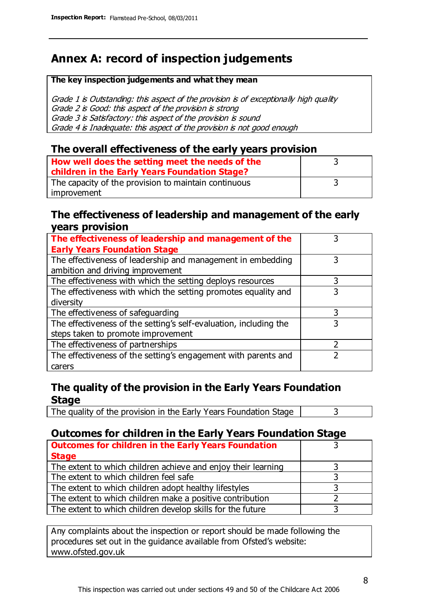# **Annex A: record of inspection judgements**

#### **The key inspection judgements and what they mean**

Grade 1 is Outstanding: this aspect of the provision is of exceptionally high quality Grade 2 is Good: this aspect of the provision is strong Grade 3 is Satisfactory: this aspect of the provision is sound Grade 4 is Inadequate: this aspect of the provision is not good enough

#### **The overall effectiveness of the early years provision**

| How well does the setting meet the needs of the<br>children in the Early Years Foundation Stage? |  |
|--------------------------------------------------------------------------------------------------|--|
| The capacity of the provision to maintain continuous                                             |  |
| improvement                                                                                      |  |

#### **The effectiveness of leadership and management of the early years provision**

| The effectiveness of leadership and management of the             |   |
|-------------------------------------------------------------------|---|
| <b>Early Years Foundation Stage</b>                               |   |
| The effectiveness of leadership and management in embedding       |   |
| ambition and driving improvement                                  |   |
| The effectiveness with which the setting deploys resources        |   |
| The effectiveness with which the setting promotes equality and    |   |
| diversity                                                         |   |
| The effectiveness of safeguarding                                 |   |
| The effectiveness of the setting's self-evaluation, including the | 3 |
| steps taken to promote improvement                                |   |
| The effectiveness of partnerships                                 |   |
| The effectiveness of the setting's engagement with parents and    |   |
| carers                                                            |   |

### **The quality of the provision in the Early Years Foundation Stage**

The quality of the provision in the Early Years Foundation Stage  $\vert$  3

### **Outcomes for children in the Early Years Foundation Stage**

| <b>Outcomes for children in the Early Years Foundation</b>    |  |
|---------------------------------------------------------------|--|
| <b>Stage</b>                                                  |  |
| The extent to which children achieve and enjoy their learning |  |
| The extent to which children feel safe                        |  |
| The extent to which children adopt healthy lifestyles         |  |
| The extent to which children make a positive contribution     |  |
| The extent to which children develop skills for the future    |  |

Any complaints about the inspection or report should be made following the procedures set out in the guidance available from Ofsted's website: www.ofsted.gov.uk